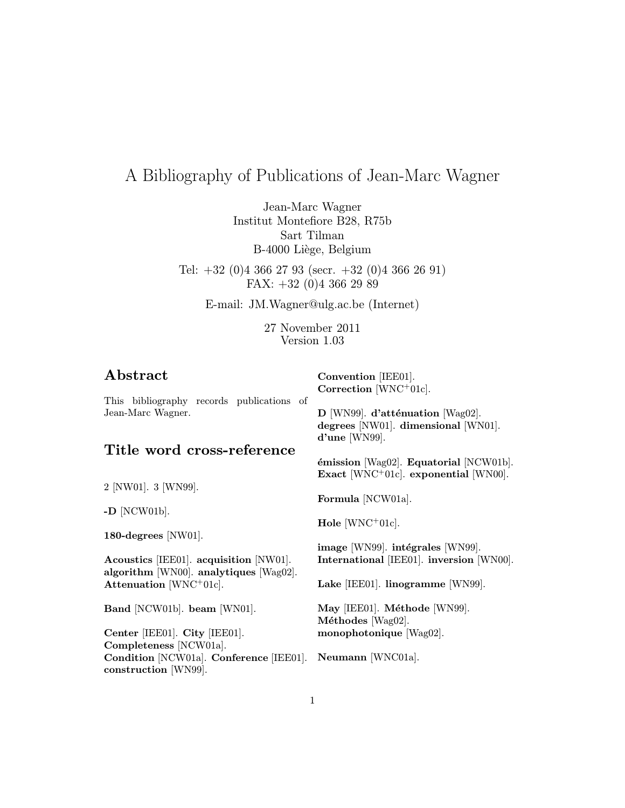# A Bibliography of Publications of Jean-Marc Wagner

Jean-Marc Wagner Institut Montefiore B28, R75b Sart Tilman B-4000 Liège, Belgium

Tel:  $+32$  (0)4 366 27 93 (secr.  $+32$  (0)4 366 26 91) FAX: +32 (0)4 366 29 89

E-mail: JM.Wagner@ulg.ac.be (Internet)

27 November 2011 Version 1.03

Convention [IEE01].

# Abstract

This bibliography records publications of Jean-Marc Wagner. Title word cross-reference 2 [NW01]. 3 [WN99]. -D [NCW01b]. 180-degrees [NW01]. Acoustics [IEE01]. acquisition [NW01]. algorithm [WN00]. analytiques [Wag02]. Attenuation [WNC<sup>+</sup>01c]. Band [NCW01b]. beam [WN01]. Center [IEE01]. City [IEE01]. Completeness [NCW01a]. Condition [NCW01a]. Conference [IEE01]. Neumann [WNC01a]. construction [WN99]. Correction [WNC<sup>+</sup>01c].  $D$  [WN99]. d'atténuation [Wag02]. degrees [NW01]. dimensional [WN01]. d'une [WN99].  $\epsilon$ mission [Wag02]. Equatorial [NCW01b]. Exact [WNC<sup>+</sup>01c]. exponential [WN00]. Formula [NCW01a]. Hole  $[WNC+01c]$ . image [WN99]. intégrales [WN99]. International [IEE01]. inversion [WN00]. Lake [IEE01]. linogramme [WN99]. May [IEE01]. Méthode [WN99]. Méthodes [Wag02]. monophotonique [Wag02].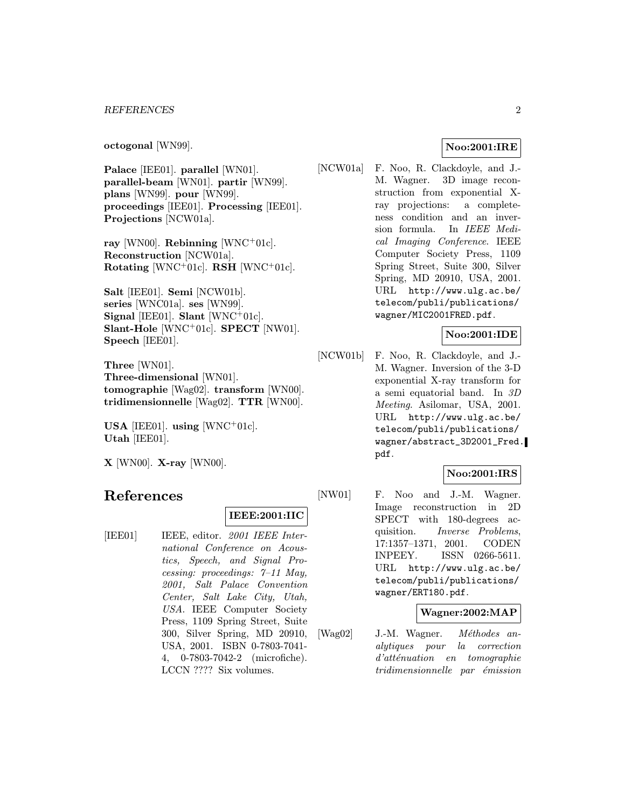#### REFERENCES 2

octogonal [WN99].

Palace [IEE01]. parallel [WN01]. parallel-beam [WN01]. partir [WN99]. plans [WN99]. pour [WN99]. proceedings [IEE01]. Processing [IEE01]. Projections [NCW01a].

ray [WN00]. Rebinning [WNC+01c]. Reconstruction [NCW01a]. Rotating [WNC+01c]. RSH [WNC+01c].

Salt [IEE01]. Semi [NCW01b]. series [WNC01a]. ses [WN99]. Signal [IEE01]. Slant  $[WNC^+01c]$ . Slant-Hole  $[WNC^+01c]$ . SPECT  $[NW01]$ . Speech [IEE01].

Three [WN01]. Three-dimensional [WN01]. tomographie [Wag02]. transform [WN00]. tridimensionnelle [Wag02]. TTR [WN00].

USA [IEE01]. using [WNC+01c]. Utah [IEE01].

 $X$  [WN00].  $X$ -ray [WN00].

# References

#### IEEE:2001:IIC

[IEE01] IEEE, editor. 2001 IEEE International Conference on Acoustics, Speech, and Signal Processing: proceedings: 7–11 May, 2001, Salt Palace Convention Center, Salt Lake City, Utah, USA. IEEE Computer Society Press, 1109 Spring Street, Suite 300, Silver Spring, MD 20910, USA, 2001. ISBN 0-7803-7041- 4, 0-7803-7042-2 (microfiche). LCCN ???? Six volumes.

#### Noo:2001:IRE

[NCW01a] F. Noo, R. Clackdoyle, and J.- M. Wagner. 3D image reconstruction from exponential Xray projections: a completeness condition and an inversion formula. In IEEE Medical Imaging Conference. IEEE Computer Society Press, 1109 Spring Street, Suite 300, Silver Spring, MD 20910, USA, 2001. URL http://www.ulg.ac.be/ telecom/publi/publications/ wagner/MIC2001FRED.pdf.

# Noo:2001:IDE

[NCW01b] F. Noo, R. Clackdoyle, and J.- M. Wagner. Inversion of the 3-D exponential X-ray transform for a semi equatorial band. In 3D Meeting. Asilomar, USA, 2001. URL http://www.ulg.ac.be/ telecom/publi/publications/ wagner/abstract\_3D2001\_Fred. pdf.

### Noo:2001:IRS

[NW01] F. Noo and J.-M. Wagner. Image reconstruction in 2D SPECT with 180-degrees acquisition. Inverse Problems, 17:1357–1371, 2001. CODEN INPEEY. ISSN 0266-5611. URL http://www.ulg.ac.be/ telecom/publi/publications/ wagner/ERT180.pdf.

# Wagner:2002:MAP

[Wag02] J.-M. Wagner.  $Méthodes$  analytiques pour la correction  $d'atte$ nuation en tomographie tridimensionnelle par émission